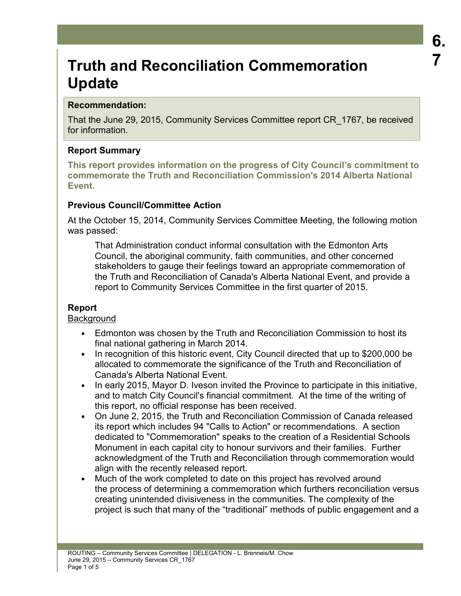# **Truth and Reconciliation Commemoration Update**

# **Recommendation:**

That the June 29, 2015, Community Services Committee report CR\_1767, be received for information.

# **Report Summary**

**This report provides information on the progress of City Council's commitment to commemorate the Truth and Reconciliation Commission's 2014 Alberta National Event.** 

# **Previous Council/Committee Action**

At the October 15, 2014, Community Services Committee Meeting, the following motion was passed:

That Administration conduct informal consultation with the Edmonton Arts Council, the aboriginal community, faith communities, and other concerned stakeholders to gauge their feelings toward an appropriate commemoration of the Truth and Reconciliation of Canada's Alberta National Event, and provide a report to Community Services Committee in the first quarter of 2015.

# **Report**

## **Background**

- Edmonton was chosen by the Truth and Reconciliation Commission to host its final national gathering in March 2014.
- In recognition of this historic event, City Council directed that up to \$200,000 be allocated to commemorate the significance of the Truth and Reconciliation of Canada's Alberta National Event.
- In early 2015, Mayor D. Iveson invited the Province to participate in this initiative, and to match City Council's financial commitment. At the time of the writing of this report, no official response has been received.
- On June 2, 2015, the Truth and Reconciliation Commission of Canada released its report which includes 94 "Calls to Action" or recommendations. A section dedicated to "Commemoration" speaks to the creation of a Residential Schools Monument in each capital city to honour survivors and their families. Further acknowledgment of the Truth and Reconciliation through commemoration would align with the recently released report.
- Much of the work completed to date on this project has revolved around the process of determining a commemoration which furthers reconciliation versus creating unintended divisiveness in the communities. The complexity of the project is such that many of the "traditional" methods of public engagement and a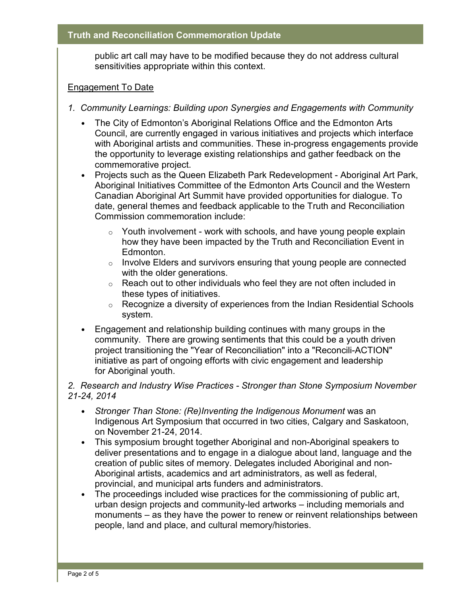public art call may have to be modified because they do not address cultural sensitivities appropriate within this context.

#### Engagement To Date

- *1. Community Learnings: Building upon Synergies and Engagements with Community* 
	- The City of Edmonton's Aboriginal Relations Office and the Edmonton Arts Council, are currently engaged in various initiatives and projects which interface with Aboriginal artists and communities. These in-progress engagements provide the opportunity to leverage existing relationships and gather feedback on the commemorative project.
	- Projects such as the Queen Elizabeth Park Redevelopment Aboriginal Art Park, Aboriginal Initiatives Committee of the Edmonton Arts Council and the Western Canadian Aboriginal Art Summit have provided opportunities for dialogue. To date, general themes and feedback applicable to the Truth and Reconciliation Commission commemoration include:
		- $\circ$  Youth involvement work with schools, and have young people explain how they have been impacted by the Truth and Reconciliation Event in Edmonton.
		- $\circ$  Involve Elders and survivors ensuring that young people are connected with the older generations.
		- $\circ$  Reach out to other individuals who feel they are not often included in these types of initiatives.
		- $\circ$  Recognize a diversity of experiences from the Indian Residential Schools system.
	- Engagement and relationship building continues with many groups in the community. There are growing sentiments that this could be a youth driven project transitioning the "Year of Reconciliation" into a "Reconcili-ACTION" initiative as part of ongoing efforts with civic engagement and leadership for Aboriginal youth.

## *2. Research and Industry Wise Practices - Stronger than Stone Symposium November 21-24, 2014*

- *Stronger Than Stone: (Re)Inventing the Indigenous Monument* was an Indigenous Art Symposium that occurred in two cities, Calgary and Saskatoon, on November 21-24, 2014.
- This symposium brought together Aboriginal and non-Aboriginal speakers to deliver presentations and to engage in a dialogue about land, language and the creation of public sites of memory. Delegates included Aboriginal and non-Aboriginal artists, academics and art administrators, as well as federal, provincial, and municipal arts funders and administrators.
- The proceedings included wise practices for the commissioning of public art, urban design projects and community-led artworks – including memorials and monuments – as they have the power to renew or reinvent relationships between people, land and place, and cultural memory/histories.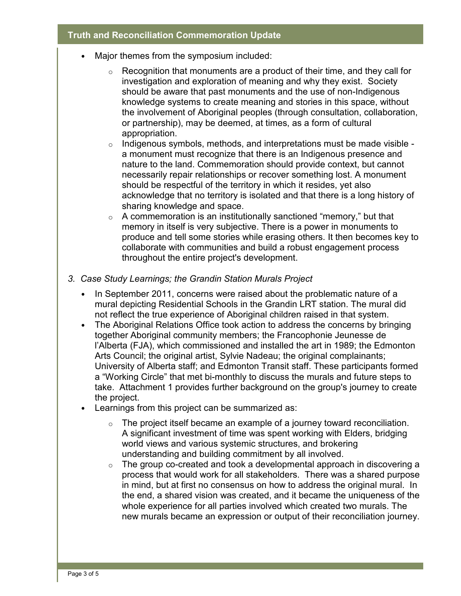#### **Truth and Reconciliation Commemoration Update**

- Major themes from the symposium included:
	- $\circ$  Recognition that monuments are a product of their time, and they call for investigation and exploration of meaning and why they exist. Society should be aware that past monuments and the use of non-Indigenous knowledge systems to create meaning and stories in this space, without the involvement of Aboriginal peoples (through consultation, collaboration, or partnership), may be deemed, at times, as a form of cultural appropriation.
	- $\circ$  Indigenous symbols, methods, and interpretations must be made visible a monument must recognize that there is an Indigenous presence and nature to the land. Commemoration should provide context, but cannot necessarily repair relationships or recover something lost. A monument should be respectful of the territory in which it resides, yet also acknowledge that no territory is isolated and that there is a long history of sharing knowledge and space.
	- $\circ$  A commemoration is an institutionally sanctioned "memory," but that memory in itself is very subjective. There is a power in monuments to produce and tell some stories while erasing others. It then becomes key to collaborate with communities and build a robust engagement process throughout the entire project's development.
- *3. Case Study Learnings; the Grandin Station Murals Project*
	- In September 2011, concerns were raised about the problematic nature of a mural depicting Residential Schools in the Grandin LRT station. The mural did not reflect the true experience of Aboriginal children raised in that system.
	- The Aboriginal Relations Office took action to address the concerns by bringing together Aboriginal community members; the Francophonie Jeunesse de l'Alberta (FJA), which commissioned and installed the art in 1989; the Edmonton Arts Council; the original artist, Sylvie Nadeau; the original complainants; University of Alberta staff; and Edmonton Transit staff. These participants formed a "Working Circle" that met bi-monthly to discuss the murals and future steps to take. Attachment 1 provides further background on the group's journey to create the project.
	- Learnings from this project can be summarized as:
		- $\circ$  The project itself became an example of a journey toward reconciliation. A significant investment of time was spent working with Elders, bridging world views and various systemic structures, and brokering understanding and building commitment by all involved.
		- $\circ$  The group co-created and took a developmental approach in discovering a process that would work for all stakeholders. There was a shared purpose in mind, but at first no consensus on how to address the original mural. In the end, a shared vision was created, and it became the uniqueness of the whole experience for all parties involved which created two murals. The new murals became an expression or output of their reconciliation journey.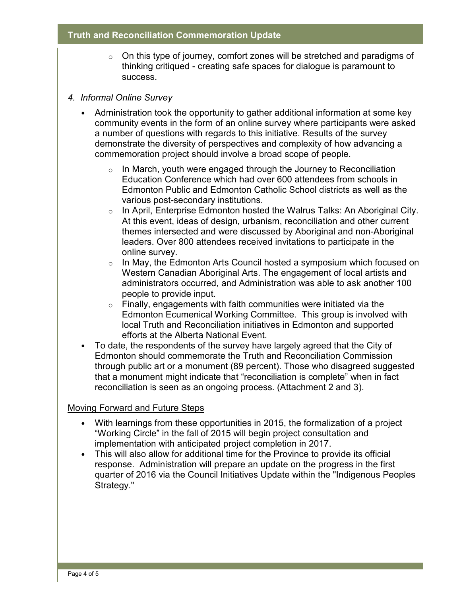#### **Truth and Reconciliation Commemoration Update**

 $\circ$  On this type of journey, comfort zones will be stretched and paradigms of thinking critiqued - creating safe spaces for dialogue is paramount to success.

#### *4. Informal Online Survey*

- Administration took the opportunity to gather additional information at some key community events in the form of an online survey where participants were asked a number of questions with regards to this initiative. Results of the survey demonstrate the diversity of perspectives and complexity of how advancing a commemoration project should involve a broad scope of people.
	- $\circ$  In March, youth were engaged through the Journey to Reconciliation Education Conference which had over 600 attendees from schools in Edmonton Public and Edmonton Catholic School districts as well as the various post-secondary institutions.
	- o In April, Enterprise Edmonton hosted the Walrus Talks: An Aboriginal City. At this event, ideas of design, urbanism, reconciliation and other current themes intersected and were discussed by Aboriginal and non-Aboriginal leaders. Over 800 attendees received invitations to participate in the online survey.
	- $\circ$  In May, the Edmonton Arts Council hosted a symposium which focused on Western Canadian Aboriginal Arts. The engagement of local artists and administrators occurred, and Administration was able to ask another 100 people to provide input.
	- $\circ$  Finally, engagements with faith communities were initiated via the Edmonton Ecumenical Working Committee. This group is involved with local Truth and Reconciliation initiatives in Edmonton and supported efforts at the Alberta National Event.
- To date, the respondents of the survey have largely agreed that the City of Edmonton should commemorate the Truth and Reconciliation Commission through public art or a monument (89 percent). Those who disagreed suggested that a monument might indicate that "reconciliation is complete" when in fact reconciliation is seen as an ongoing process. (Attachment 2 and 3).

## Moving Forward and Future Steps

- With learnings from these opportunities in 2015, the formalization of a project "Working Circle" in the fall of 2015 will begin project consultation and implementation with anticipated project completion in 2017.
- This will also allow for additional time for the Province to provide its official response. Administration will prepare an update on the progress in the first quarter of 2016 via the Council Initiatives Update within the "Indigenous Peoples Strategy."